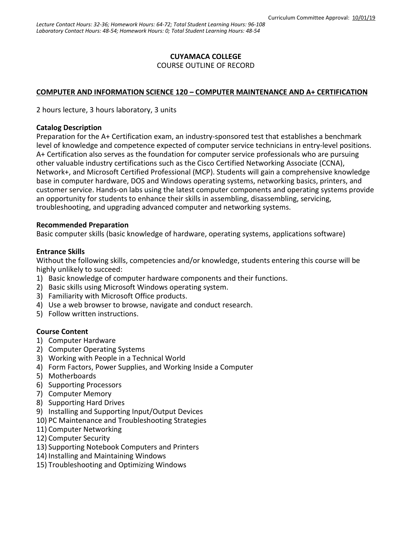### **CUYAMACA COLLEGE**

COURSE OUTLINE OF RECORD

#### **COMPUTER AND INFORMATION SCIENCE 120 – COMPUTER MAINTENANCE AND A+ CERTIFICATION**

2 hours lecture, 3 hours laboratory, 3 units

#### **Catalog Description**

Preparation for the A+ Certification exam, an industry-sponsored test that establishes a benchmark level of knowledge and competence expected of computer service technicians in entry-level positions. A+ Certification also serves as the foundation for computer service professionals who are pursuing other valuable industry certifications such as the Cisco Certified Networking Associate (CCNA), Network+, and Microsoft Certified Professional (MCP). Students will gain a comprehensive knowledge base in computer hardware, DOS and Windows operating systems, networking basics, printers, and customer service. Hands-on labs using the latest computer components and operating systems provide an opportunity for students to enhance their skills in assembling, disassembling, servicing, troubleshooting, and upgrading advanced computer and networking systems.

#### **Recommended Preparation**

Basic computer skills (basic knowledge of hardware, operating systems, applications software)

#### **Entrance Skills**

Without the following skills, competencies and/or knowledge, students entering this course will be highly unlikely to succeed:

- 1) Basic knowledge of computer hardware components and their functions.
- 2) Basic skills using Microsoft Windows operating system.
- 3) Familiarity with Microsoft Office products.
- 4) Use a web browser to browse, navigate and conduct research.
- 5) Follow written instructions.

#### **Course Content**

- 1) Computer Hardware
- 2) Computer Operating Systems
- 3) Working with People in a Technical World
- 4) Form Factors, Power Supplies, and Working Inside a Computer
- 5) Motherboards
- 6) Supporting Processors
- 7) Computer Memory
- 8) Supporting Hard Drives
- 9) Installing and Supporting Input/Output Devices
- 10) PC Maintenance and Troubleshooting Strategies
- 11) Computer Networking
- 12) Computer Security
- 13) Supporting Notebook Computers and Printers
- 14) Installing and Maintaining Windows
- 15) Troubleshooting and Optimizing Windows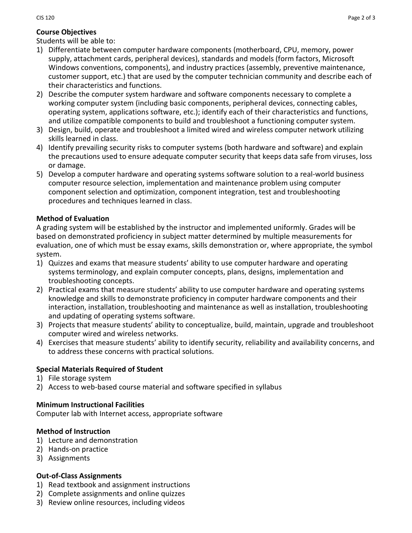# **Course Objectives**

Students will be able to:

- 1) Differentiate between computer hardware components (motherboard, CPU, memory, power supply, attachment cards, peripheral devices), standards and models (form factors, Microsoft Windows conventions, components), and industry practices (assembly, preventive maintenance, customer support, etc.) that are used by the computer technician community and describe each of their characteristics and functions.
- 2) Describe the computer system hardware and software components necessary to complete a working computer system (including basic components, peripheral devices, connecting cables, operating system, applications software, etc.); identify each of their characteristics and functions, and utilize compatible components to build and troubleshoot a functioning computer system.
- 3) Design, build, operate and troubleshoot a limited wired and wireless computer network utilizing skills learned in class.
- 4) Identify prevailing security risks to computer systems (both hardware and software) and explain the precautions used to ensure adequate computer security that keeps data safe from viruses, loss or damage.
- 5) Develop a computer hardware and operating systems software solution to a real-world business computer resource selection, implementation and maintenance problem using computer component selection and optimization, component integration, test and troubleshooting procedures and techniques learned in class.

# **Method of Evaluation**

A grading system will be established by the instructor and implemented uniformly. Grades will be based on demonstrated proficiency in subject matter determined by multiple measurements for evaluation, one of which must be essay exams, skills demonstration or, where appropriate, the symbol system.

- 1) Quizzes and exams that measure students' ability to use computer hardware and operating systems terminology, and explain computer concepts, plans, designs, implementation and troubleshooting concepts.
- 2) Practical exams that measure students' ability to use computer hardware and operating systems knowledge and skills to demonstrate proficiency in computer hardware components and their interaction, installation, troubleshooting and maintenance as well as installation, troubleshooting and updating of operating systems software.
- 3) Projects that measure students' ability to conceptualize, build, maintain, upgrade and troubleshoot computer wired and wireless networks.
- 4) Exercises that measure students' ability to identify security, reliability and availability concerns, and to address these concerns with practical solutions.

# **Special Materials Required of Student**

- 1) File storage system
- 2) Access to web-based course material and software specified in syllabus

# **Minimum Instructional Facilities**

Computer lab with Internet access, appropriate software

# **Method of Instruction**

- 1) Lecture and demonstration
- 2) Hands-on practice
- 3) Assignments

# **Out-of-Class Assignments**

- 1) Read textbook and assignment instructions
- 2) Complete assignments and online quizzes
- 3) Review online resources, including videos